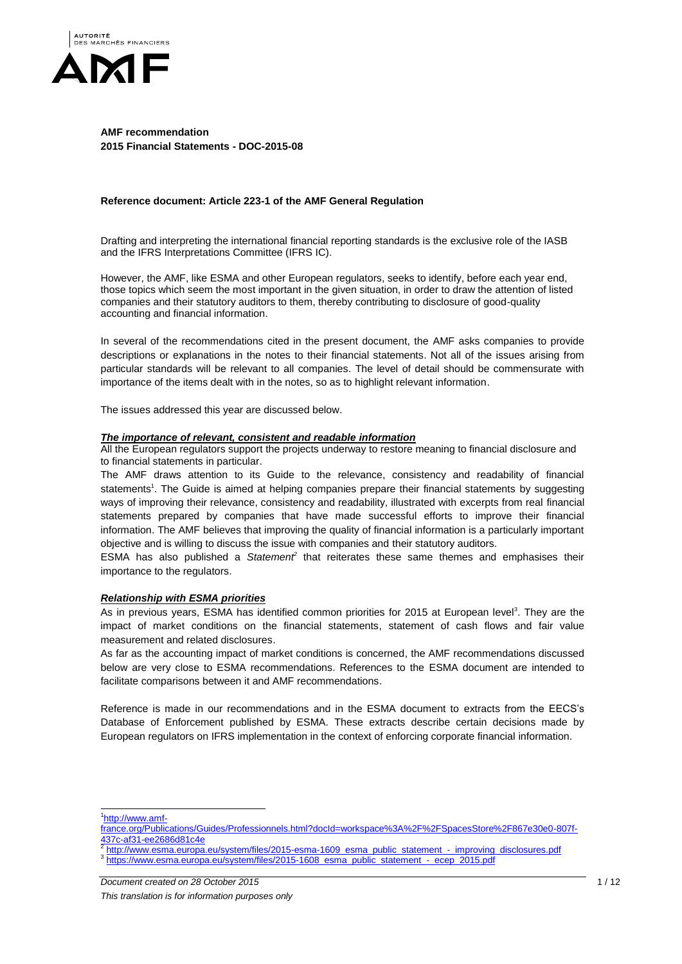

## **AMF recommendation 2015 Financial Statements - DOC-2015-08**

### **Reference document: Article 223-1 of the AMF General Regulation**

Drafting and interpreting the international financial reporting standards is the exclusive role of the IASB and the IFRS Interpretations Committee (IFRS IC).

However, the AMF, like ESMA and other European regulators, seeks to identify, before each year end, those topics which seem the most important in the given situation, in order to draw the attention of listed companies and their statutory auditors to them, thereby contributing to disclosure of good-quality accounting and financial information.

In several of the recommendations cited in the present document, the AMF asks companies to provide descriptions or explanations in the notes to their financial statements. Not all of the issues arising from particular standards will be relevant to all companies. The level of detail should be commensurate with importance of the items dealt with in the notes, so as to highlight relevant information.

The issues addressed this year are discussed below.

#### *The importance of relevant, consistent and readable information*

All the European regulators support the projects underway to restore meaning to financial disclosure and to financial statements in particular.

The AMF draws attention to its Guide to the relevance, consistency and readability of financial statements<sup>1</sup>. The Guide is aimed at helping companies prepare their financial statements by suggesting ways of improving their relevance, consistency and readability, illustrated with excerpts from real financial statements prepared by companies that have made successful efforts to improve their financial information. The AMF believes that improving the quality of financial information is a particularly important objective and is willing to discuss the issue with companies and their statutory auditors.

ESMA has also published a Statement<sup>2</sup> that reiterates these same themes and emphasises their importance to the regulators.

## *Relationship with ESMA priorities*

As in previous years, ESMA has identified common priorities for 2015 at European level<sup>3</sup>. They are the impact of market conditions on the financial statements, statement of cash flows and fair value measurement and related disclosures.

As far as the accounting impact of market conditions is concerned, the AMF recommendations discussed below are very close to ESMA recommendations. References to the ESMA document are intended to facilitate comparisons between it and AMF recommendations.

Reference is made in our recommendations and in the ESMA document to extracts from the EECS's Database of Enforcement published by ESMA. These extracts describe certain decisions made by European regulators on IFRS implementation in the context of enforcing corporate financial information.

1<sub>http://www.amf-</sub>

 $\overline{a}$ 

[france.org/Publications/Guides/Professionnels.html?docId=workspace%3A%2F%2FSpacesStore%2F867e30e0-807f-](http://www.amf-france.org/Publications/Guides/Professionnels.html?docId=workspace%3A%2F%2FSpacesStore%2F867e30e0-807f-437c-af31-ee2686d81c4e)<u>[437c-af31-ee2686d81c4e](http://www.amf-france.org/Publications/Guides/Professionnels.html?docId=workspace%3A%2F%2FSpacesStore%2F867e30e0-807f-437c-af31-ee2686d81c4e)</u><br><sup>2</sup> http://www.eeme.europe

[http://www.esma.europa.eu/system/files/2015-esma-1609\\_esma\\_public\\_statement\\_-\\_improving\\_disclosures.pdf](http://www.esma.europa.eu/system/files/2015-esma-1609_esma_public_statement_-_improving_disclosures.pdf) <sup>3</sup> [https://www.esma.europa.eu/system/files/2015-1608\\_esma\\_public\\_statement\\_-\\_ecep\\_2015.pdf](https://www.esma.europa.eu/system/files/2015-1608_esma_public_statement_-_ecep_2015.pdf)

**Document created on 28 October 2015** 1/12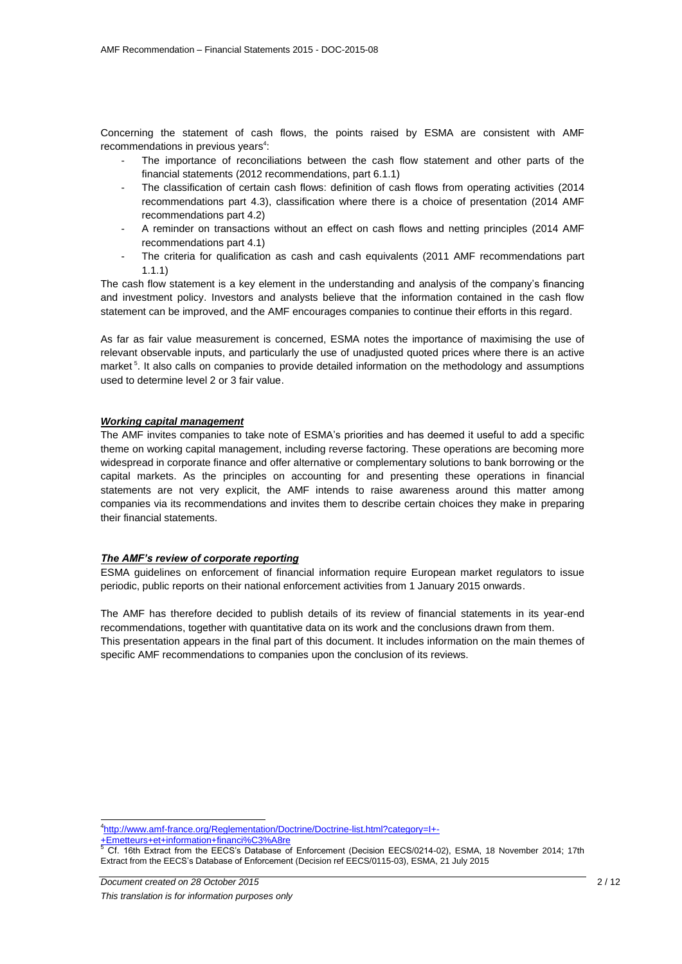Concerning the statement of cash flows, the points raised by ESMA are consistent with AMF recommendations in previous years $4$ :

- The importance of reconciliations between the cash flow statement and other parts of the financial statements (2012 recommendations, part 6.1.1)
- The classification of certain cash flows: definition of cash flows from operating activities (2014 recommendations part 4.3), classification where there is a choice of presentation (2014 AMF recommendations part 4.2)
- A reminder on transactions without an effect on cash flows and netting principles (2014 AMF recommendations part 4.1)
- The criteria for qualification as cash and cash equivalents (2011 AMF recommendations part 1.1.1)

The cash flow statement is a key element in the understanding and analysis of the company's financing and investment policy. Investors and analysts believe that the information contained in the cash flow statement can be improved, and the AMF encourages companies to continue their efforts in this regard.

As far as fair value measurement is concerned, ESMA notes the importance of maximising the use of relevant observable inputs, and particularly the use of unadjusted quoted prices where there is an active market<sup>5</sup>. It also calls on companies to provide detailed information on the methodology and assumptions used to determine level 2 or 3 fair value.

### *Working capital management*

The AMF invites companies to take note of ESMA's priorities and has deemed it useful to add a specific theme on working capital management, including reverse factoring. These operations are becoming more widespread in corporate finance and offer alternative or complementary solutions to bank borrowing or the capital markets. As the principles on accounting for and presenting these operations in financial statements are not very explicit, the AMF intends to raise awareness around this matter among companies via its recommendations and invites them to describe certain choices they make in preparing their financial statements.

### *The AMF's review of corporate reporting*

ESMA guidelines on enforcement of financial information require European market regulators to issue periodic, public reports on their national enforcement activities from 1 January 2015 onwards.

The AMF has therefore decided to publish details of its review of financial statements in its year-end recommendations, together with quantitative data on its work and the conclusions drawn from them. This presentation appears in the final part of this document. It includes information on the main themes of specific AMF recommendations to companies upon the conclusion of its reviews.

 $\overline{a}$ 4 [http://www.amf-france.org/Reglementation/Doctrine/Doctrine-list.html?category=I+-](http://www.amf-france.org/Reglementation/Doctrine/Doctrine-list.html?category=I+-+Emetteurs+et+information+financi%C3%A8re)

[+Emetteurs+et+information+financi%C3%A8re](http://www.amf-france.org/Reglementation/Doctrine/Doctrine-list.html?category=I+-+Emetteurs+et+information+financi%C3%A8re)

<sup>5</sup> Cf. 16th Extract from the EECS's Database of Enforcement (Decision EECS/0214-02), ESMA, 18 November 2014; 17th Extract from the EECS's Database of Enforcement (Decision ref EECS/0115-03), ESMA, 21 July 2015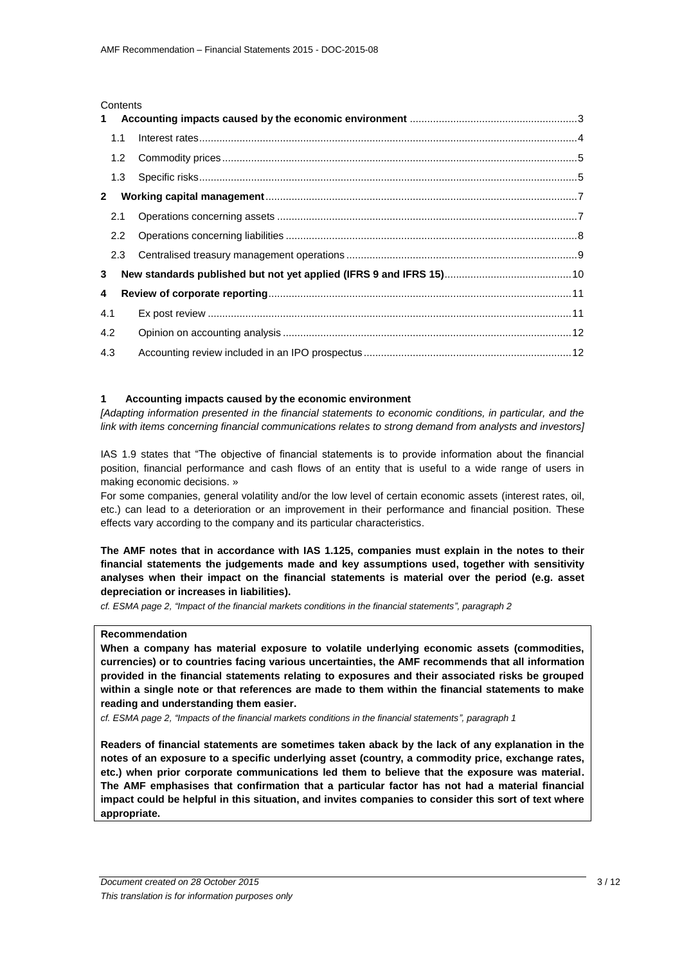#### **Contents**

|                         | 1.1 |  |
|-------------------------|-----|--|
|                         |     |  |
|                         |     |  |
|                         |     |  |
|                         |     |  |
|                         |     |  |
|                         |     |  |
| 3 <sup>1</sup>          |     |  |
| $\overline{\mathbf{4}}$ |     |  |
| 4.1                     |     |  |
| 4.2                     |     |  |
| 4.3                     |     |  |

### <span id="page-2-0"></span>**1 Accounting impacts caused by the economic environment**

*[Adapting information presented in the financial statements to economic conditions, in particular, and the link with items concerning financial communications relates to strong demand from analysts and investors]*

IAS 1.9 states that "The objective of financial statements is to provide information about the financial position, financial performance and cash flows of an entity that is useful to a wide range of users in making economic decisions. »

For some companies, general volatility and/or the low level of certain economic assets (interest rates, oil, etc.) can lead to a deterioration or an improvement in their performance and financial position. These effects vary according to the company and its particular characteristics.

**The AMF notes that in accordance with IAS 1.125, companies must explain in the notes to their financial statements the judgements made and key assumptions used, together with sensitivity analyses when their impact on the financial statements is material over the period (e.g. asset depreciation or increases in liabilities).**

*cf. ESMA page 2, "Impact of the financial markets conditions in the financial statements", paragraph 2*

### **Recommendation**

**When a company has material exposure to volatile underlying economic assets (commodities, currencies) or to countries facing various uncertainties, the AMF recommends that all information provided in the financial statements relating to exposures and their associated risks be grouped within a single note or that references are made to them within the financial statements to make reading and understanding them easier.**

*cf. ESMA page 2, "Impacts of the financial markets conditions in the financial statements", paragraph 1*

**Readers of financial statements are sometimes taken aback by the lack of any explanation in the notes of an exposure to a specific underlying asset (country, a commodity price, exchange rates, etc.) when prior corporate communications led them to believe that the exposure was material. The AMF emphasises that confirmation that a particular factor has not had a material financial impact could be helpful in this situation, and invites companies to consider this sort of text where appropriate.**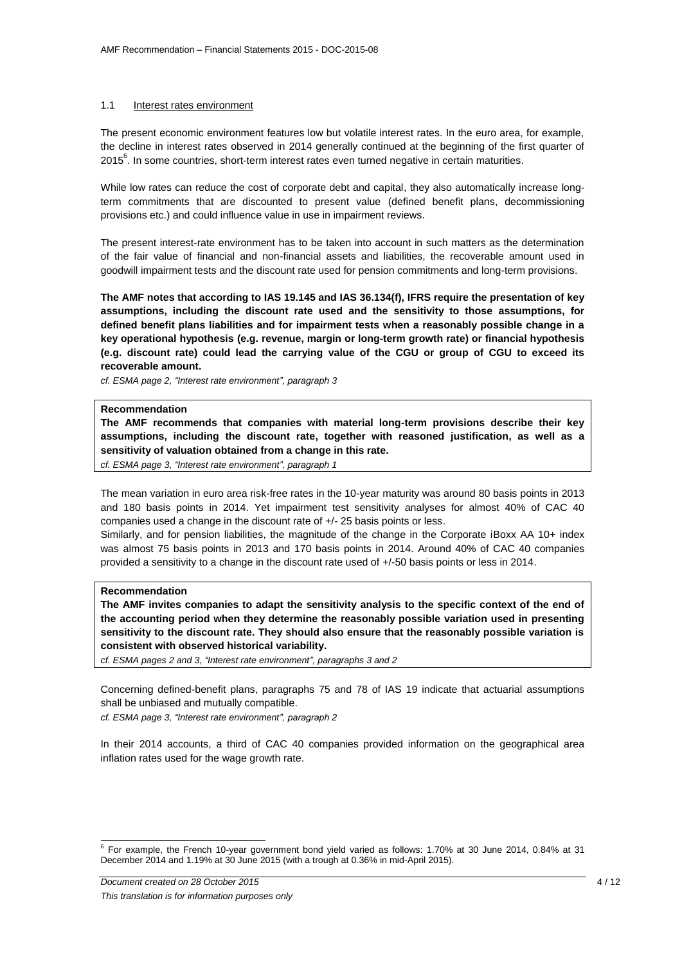### <span id="page-3-0"></span>1.1 Interest rates environment

The present economic environment features low but volatile interest rates. In the euro area, for example, the decline in interest rates observed in 2014 generally continued at the beginning of the first quarter of 2015<sup>6</sup>. In some countries, short-term interest rates even turned negative in certain maturities.

While low rates can reduce the cost of corporate debt and capital, they also automatically increase longterm commitments that are discounted to present value (defined benefit plans, decommissioning provisions etc.) and could influence value in use in impairment reviews.

The present interest-rate environment has to be taken into account in such matters as the determination of the fair value of financial and non-financial assets and liabilities, the recoverable amount used in goodwill impairment tests and the discount rate used for pension commitments and long-term provisions.

**The AMF notes that according to IAS 19.145 and IAS 36.134(f), IFRS require the presentation of key assumptions, including the discount rate used and the sensitivity to those assumptions, for defined benefit plans liabilities and for impairment tests when a reasonably possible change in a key operational hypothesis (e.g. revenue, margin or long-term growth rate) or financial hypothesis (e.g. discount rate) could lead the carrying value of the CGU or group of CGU to exceed its recoverable amount.**

*cf. ESMA page 2, "Interest rate environment", paragraph 3*

### **Recommendation**

**The AMF recommends that companies with material long-term provisions describe their key assumptions, including the discount rate, together with reasoned justification, as well as a sensitivity of valuation obtained from a change in this rate.**

*cf. ESMA page 3, "Interest rate environment", paragraph 1*

The mean variation in euro area risk-free rates in the 10-year maturity was around 80 basis points in 2013 and 180 basis points in 2014. Yet impairment test sensitivity analyses for almost 40% of CAC 40 companies used a change in the discount rate of +/- 25 basis points or less.

Similarly, and for pension liabilities, the magnitude of the change in the Corporate iBoxx AA 10+ index was almost 75 basis points in 2013 and 170 basis points in 2014. Around 40% of CAC 40 companies provided a sensitivity to a change in the discount rate used of +/-50 basis points or less in 2014.

### **Recommendation**

**The AMF invites companies to adapt the sensitivity analysis to the specific context of the end of the accounting period when they determine the reasonably possible variation used in presenting sensitivity to the discount rate. They should also ensure that the reasonably possible variation is consistent with observed historical variability.**

*cf. ESMA pages 2 and 3, "Interest rate environment", paragraphs 3 and 2*

Concerning defined-benefit plans, paragraphs 75 and 78 of IAS 19 indicate that actuarial assumptions shall be unbiased and mutually compatible.

*cf. ESMA page 3, "Interest rate environment", paragraph 2*

In their 2014 accounts, a third of CAC 40 companies provided information on the geographical area inflation rates used for the wage growth rate.

 6 For example, the French 10-year government bond yield varied as follows: 1.70% at 30 June 2014, 0.84% at 31 December 2014 and 1.19% at 30 June 2015 (with a trough at 0.36% in mid-April 2015).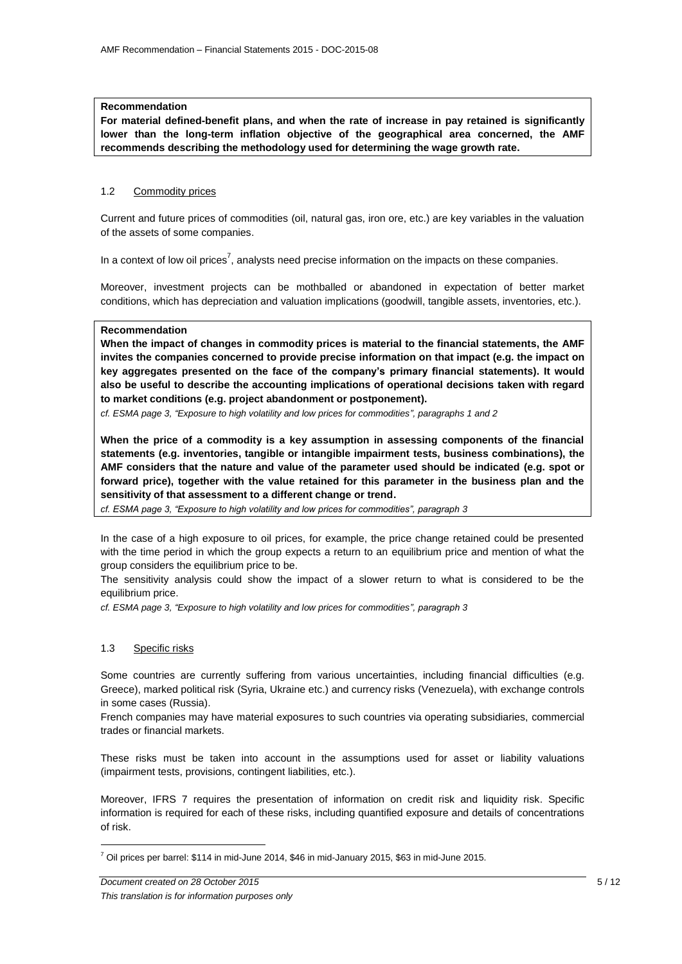### **Recommendation**

**For material defined-benefit plans, and when the rate of increase in pay retained is significantly lower than the long-term inflation objective of the geographical area concerned, the AMF recommends describing the methodology used for determining the wage growth rate.**

### <span id="page-4-0"></span>1.2 Commodity prices

Current and future prices of commodities (oil, natural gas, iron ore, etc.) are key variables in the valuation of the assets of some companies.

In a context of low oil prices<sup>7</sup>, analysts need precise information on the impacts on these companies.

Moreover, investment projects can be mothballed or abandoned in expectation of better market conditions, which has depreciation and valuation implications (goodwill, tangible assets, inventories, etc.).

### **Recommendation**

**When the impact of changes in commodity prices is material to the financial statements, the AMF invites the companies concerned to provide precise information on that impact (e.g. the impact on key aggregates presented on the face of the company's primary financial statements). It would also be useful to describe the accounting implications of operational decisions taken with regard to market conditions (e.g. project abandonment or postponement).**

*cf. ESMA page 3, "Exposure to high volatility and low prices for commodities", paragraphs 1 and 2*

**When the price of a commodity is a key assumption in assessing components of the financial statements (e.g. inventories, tangible or intangible impairment tests, business combinations), the AMF considers that the nature and value of the parameter used should be indicated (e.g. spot or forward price), together with the value retained for this parameter in the business plan and the sensitivity of that assessment to a different change or trend.**

*cf. ESMA page 3, "Exposure to high volatility and low prices for commodities", paragraph 3*

In the case of a high exposure to oil prices, for example, the price change retained could be presented with the time period in which the group expects a return to an equilibrium price and mention of what the group considers the equilibrium price to be.

The sensitivity analysis could show the impact of a slower return to what is considered to be the equilibrium price.

*cf. ESMA page 3, "Exposure to high volatility and low prices for commodities", paragraph 3*

### <span id="page-4-1"></span>1.3 Specific risks

 $\overline{a}$ 

Some countries are currently suffering from various uncertainties, including financial difficulties (e.g. Greece), marked political risk (Syria, Ukraine etc.) and currency risks (Venezuela), with exchange controls in some cases (Russia).

French companies may have material exposures to such countries via operating subsidiaries, commercial trades or financial markets.

These risks must be taken into account in the assumptions used for asset or liability valuations (impairment tests, provisions, contingent liabilities, etc.).

Moreover, IFRS 7 requires the presentation of information on credit risk and liquidity risk. Specific information is required for each of these risks, including quantified exposure and details of concentrations of risk.

<sup>7</sup> Oil prices per barrel: \$114 in mid-June 2014, \$46 in mid-January 2015, \$63 in mid-June 2015.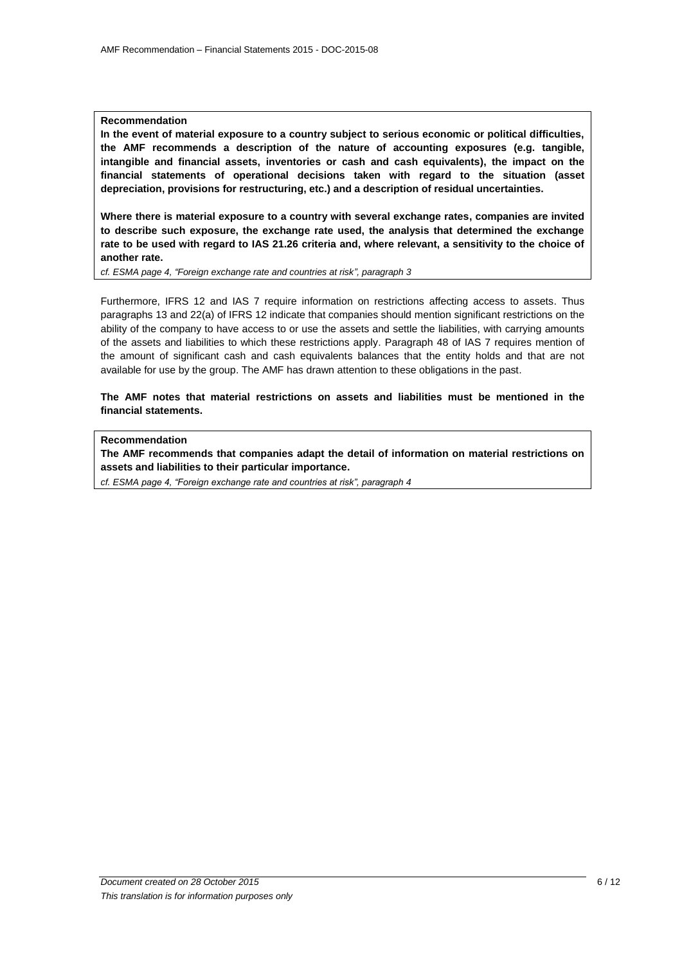### **Recommendation**

**In the event of material exposure to a country subject to serious economic or political difficulties, the AMF recommends a description of the nature of accounting exposures (e.g. tangible, intangible and financial assets, inventories or cash and cash equivalents), the impact on the financial statements of operational decisions taken with regard to the situation (asset depreciation, provisions for restructuring, etc.) and a description of residual uncertainties.**

**Where there is material exposure to a country with several exchange rates, companies are invited to describe such exposure, the exchange rate used, the analysis that determined the exchange rate to be used with regard to IAS 21.26 criteria and, where relevant, a sensitivity to the choice of another rate.**

*cf. ESMA page 4, "Foreign exchange rate and countries at risk", paragraph 3*

Furthermore, IFRS 12 and IAS 7 require information on restrictions affecting access to assets. Thus paragraphs 13 and 22(a) of IFRS 12 indicate that companies should mention significant restrictions on the ability of the company to have access to or use the assets and settle the liabilities, with carrying amounts of the assets and liabilities to which these restrictions apply. Paragraph 48 of IAS 7 requires mention of the amount of significant cash and cash equivalents balances that the entity holds and that are not available for use by the group. The AMF has drawn attention to these obligations in the past.

## **The AMF notes that material restrictions on assets and liabilities must be mentioned in the financial statements.**

### **Recommendation**

**The AMF recommends that companies adapt the detail of information on material restrictions on assets and liabilities to their particular importance.**

*cf. ESMA page 4, "Foreign exchange rate and countries at risk", paragraph 4*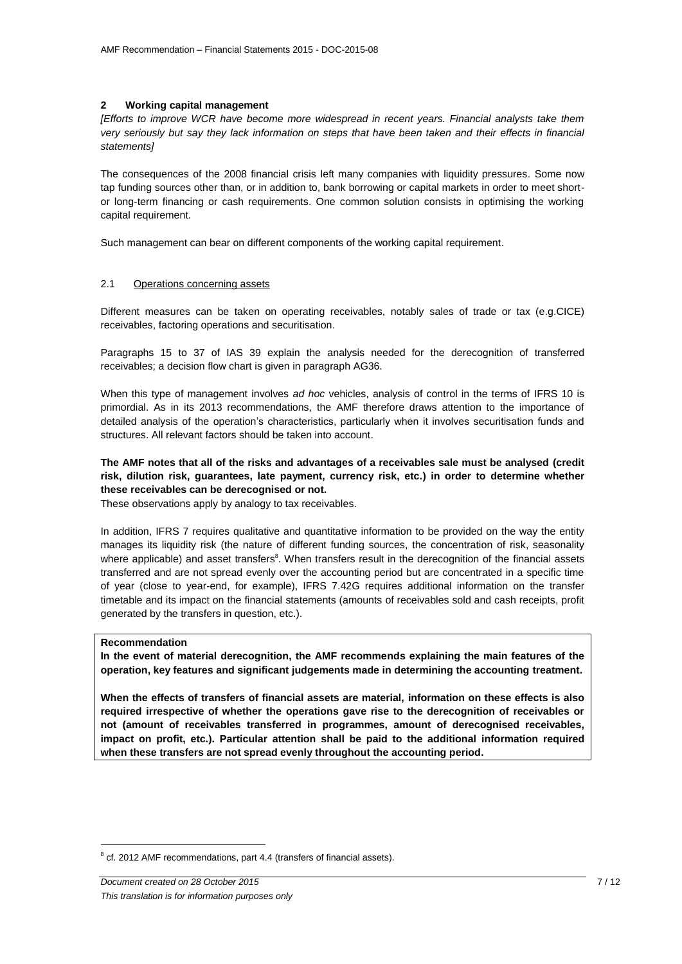### <span id="page-6-0"></span>**2 Working capital management**

*[Efforts to improve WCR have become more widespread in recent years. Financial analysts take them very seriously but say they lack information on steps that have been taken and their effects in financial statements]*

The consequences of the 2008 financial crisis left many companies with liquidity pressures. Some now tap funding sources other than, or in addition to, bank borrowing or capital markets in order to meet shortor long-term financing or cash requirements. One common solution consists in optimising the working capital requirement.

Such management can bear on different components of the working capital requirement.

### <span id="page-6-1"></span>2.1 Operations concerning assets

Different measures can be taken on operating receivables, notably sales of trade or tax (e.g.CICE) receivables, factoring operations and securitisation.

Paragraphs 15 to 37 of IAS 39 explain the analysis needed for the derecognition of transferred receivables; a decision flow chart is given in paragraph AG36.

When this type of management involves *ad hoc* vehicles, analysis of control in the terms of IFRS 10 is primordial. As in its 2013 recommendations, the AMF therefore draws attention to the importance of detailed analysis of the operation's characteristics, particularly when it involves securitisation funds and structures. All relevant factors should be taken into account.

## **The AMF notes that all of the risks and advantages of a receivables sale must be analysed (credit risk, dilution risk, guarantees, late payment, currency risk, etc.) in order to determine whether these receivables can be derecognised or not.**

These observations apply by analogy to tax receivables.

In addition, IFRS 7 requires qualitative and quantitative information to be provided on the way the entity manages its liquidity risk (the nature of different funding sources, the concentration of risk, seasonality where applicable) and asset transfers<sup>8</sup>. When transfers result in the derecognition of the financial assets transferred and are not spread evenly over the accounting period but are concentrated in a specific time of year (close to year-end, for example), IFRS 7.42G requires additional information on the transfer timetable and its impact on the financial statements (amounts of receivables sold and cash receipts, profit generated by the transfers in question, etc.).

### **Recommendation**

 $\overline{a}$ 

**In the event of material derecognition, the AMF recommends explaining the main features of the operation, key features and significant judgements made in determining the accounting treatment.**

**When the effects of transfers of financial assets are material, information on these effects is also required irrespective of whether the operations gave rise to the derecognition of receivables or not (amount of receivables transferred in programmes, amount of derecognised receivables, impact on profit, etc.). Particular attention shall be paid to the additional information required when these transfers are not spread evenly throughout the accounting period.**

 $8$  cf. 2012 AMF recommendations, part 4.4 (transfers of financial assets).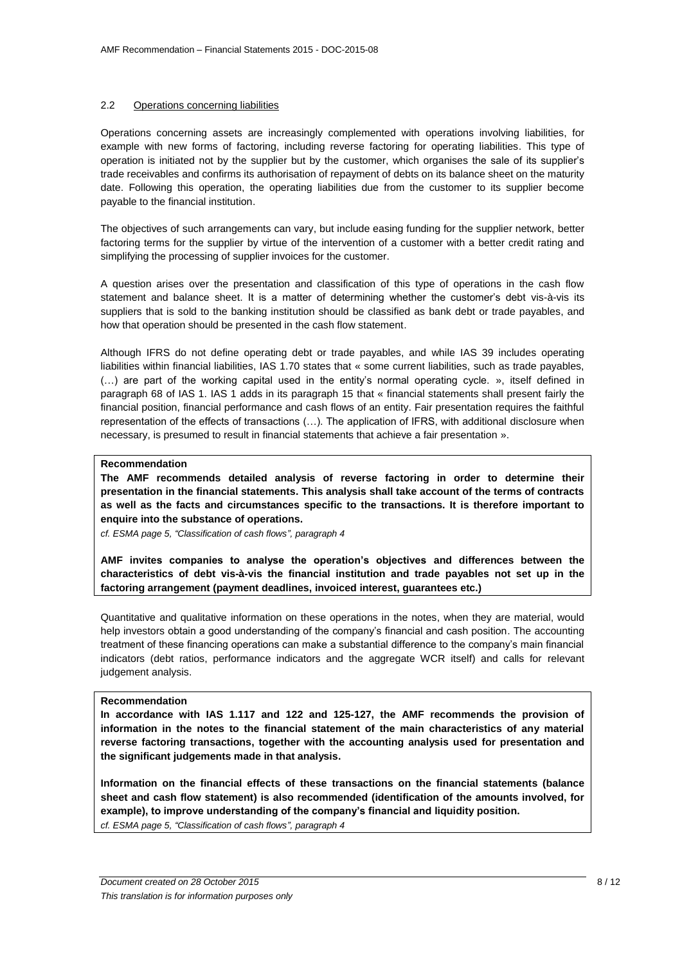### <span id="page-7-0"></span>2.2 Operations concerning liabilities

Operations concerning assets are increasingly complemented with operations involving liabilities, for example with new forms of factoring, including reverse factoring for operating liabilities. This type of operation is initiated not by the supplier but by the customer, which organises the sale of its supplier's trade receivables and confirms its authorisation of repayment of debts on its balance sheet on the maturity date. Following this operation, the operating liabilities due from the customer to its supplier become payable to the financial institution.

The objectives of such arrangements can vary, but include easing funding for the supplier network, better factoring terms for the supplier by virtue of the intervention of a customer with a better credit rating and simplifying the processing of supplier invoices for the customer.

A question arises over the presentation and classification of this type of operations in the cash flow statement and balance sheet. It is a matter of determining whether the customer's debt vis-à-vis its suppliers that is sold to the banking institution should be classified as bank debt or trade payables, and how that operation should be presented in the cash flow statement.

Although IFRS do not define operating debt or trade payables, and while IAS 39 includes operating liabilities within financial liabilities, IAS 1.70 states that « some current liabilities, such as trade payables, (…) are part of the working capital used in the entity's normal operating cycle. », itself defined in paragraph 68 of IAS 1. IAS 1 adds in its paragraph 15 that « financial statements shall present fairly the financial position, financial performance and cash flows of an entity. Fair presentation requires the faithful representation of the effects of transactions (…). The application of IFRS, with additional disclosure when necessary, is presumed to result in financial statements that achieve a fair presentation ».

### **Recommendation**

**The AMF recommends detailed analysis of reverse factoring in order to determine their presentation in the financial statements. This analysis shall take account of the terms of contracts as well as the facts and circumstances specific to the transactions. It is therefore important to enquire into the substance of operations.**

*cf. ESMA page 5, "Classification of cash flows", paragraph 4*

**AMF invites companies to analyse the operation's objectives and differences between the characteristics of debt vis-à-vis the financial institution and trade payables not set up in the factoring arrangement (payment deadlines, invoiced interest, guarantees etc.)**

Quantitative and qualitative information on these operations in the notes, when they are material, would help investors obtain a good understanding of the company's financial and cash position. The accounting treatment of these financing operations can make a substantial difference to the company's main financial indicators (debt ratios, performance indicators and the aggregate WCR itself) and calls for relevant judgement analysis.

### **Recommendation**

**In accordance with IAS 1.117 and 122 and 125-127, the AMF recommends the provision of information in the notes to the financial statement of the main characteristics of any material reverse factoring transactions, together with the accounting analysis used for presentation and the significant judgements made in that analysis.**

**Information on the financial effects of these transactions on the financial statements (balance sheet and cash flow statement) is also recommended (identification of the amounts involved, for example), to improve understanding of the company's financial and liquidity position.** *cf. ESMA page 5, "Classification of cash flows", paragraph 4*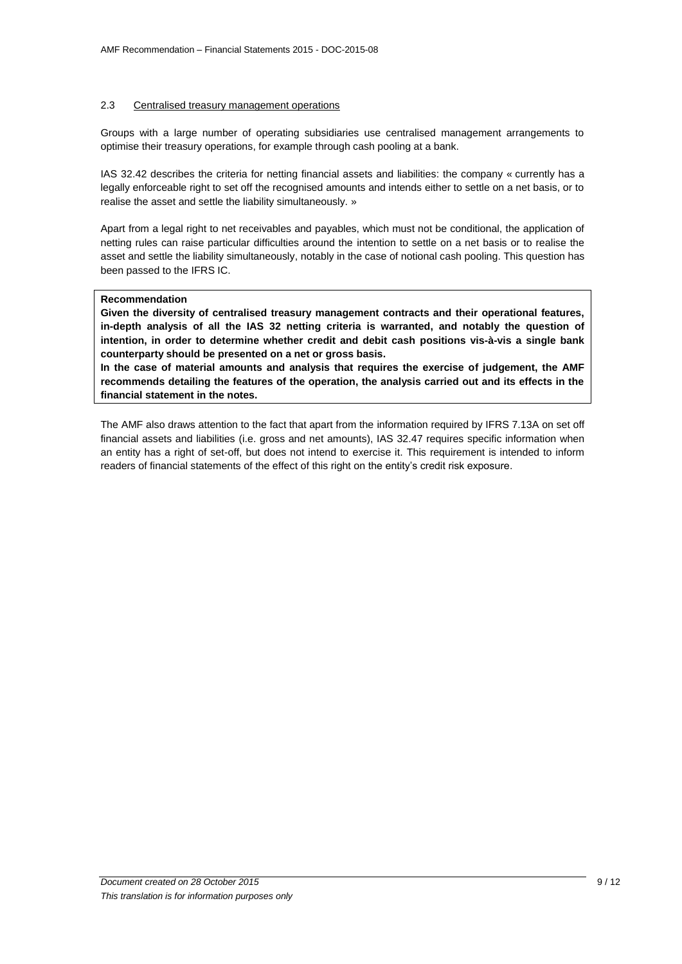### <span id="page-8-0"></span>2.3 Centralised treasury management operations

Groups with a large number of operating subsidiaries use centralised management arrangements to optimise their treasury operations, for example through cash pooling at a bank.

IAS 32.42 describes the criteria for netting financial assets and liabilities: the company « currently has a legally enforceable right to set off the recognised amounts and intends either to settle on a net basis, or to realise the asset and settle the liability simultaneously. »

Apart from a legal right to net receivables and payables, which must not be conditional, the application of netting rules can raise particular difficulties around the intention to settle on a net basis or to realise the asset and settle the liability simultaneously, notably in the case of notional cash pooling. This question has been passed to the IFRS IC.

### **Recommendation**

**Given the diversity of centralised treasury management contracts and their operational features, in-depth analysis of all the IAS 32 netting criteria is warranted, and notably the question of intention, in order to determine whether credit and debit cash positions vis-à-vis a single bank counterparty should be presented on a net or gross basis.**

**In the case of material amounts and analysis that requires the exercise of judgement, the AMF recommends detailing the features of the operation, the analysis carried out and its effects in the financial statement in the notes.** 

The AMF also draws attention to the fact that apart from the information required by IFRS 7.13A on set off financial assets and liabilities (i.e. gross and net amounts), IAS 32.47 requires specific information when an entity has a right of set-off, but does not intend to exercise it. This requirement is intended to inform readers of financial statements of the effect of this right on the entity's credit risk exposure.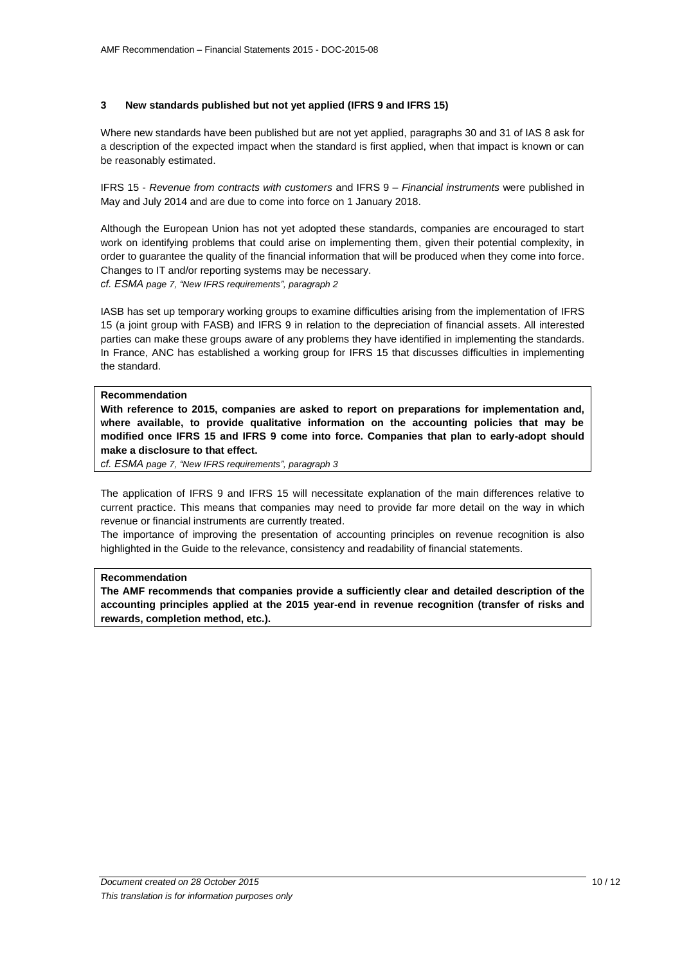## <span id="page-9-0"></span>**3 New standards published but not yet applied (IFRS 9 and IFRS 15)**

Where new standards have been published but are not yet applied, paragraphs 30 and 31 of IAS 8 ask for a description of the expected impact when the standard is first applied, when that impact is known or can be reasonably estimated.

IFRS 15 - *Revenue from contracts with customers* and IFRS 9 – *Financial instruments* were published in May and July 2014 and are due to come into force on 1 January 2018.

Although the European Union has not yet adopted these standards, companies are encouraged to start work on identifying problems that could arise on implementing them, given their potential complexity, in order to guarantee the quality of the financial information that will be produced when they come into force. Changes to IT and/or reporting systems may be necessary.

*cf. ESMA page 7, "New IFRS requirements", paragraph 2*

IASB has set up temporary working groups to examine difficulties arising from the implementation of IFRS 15 (a joint group with FASB) and IFRS 9 in relation to the depreciation of financial assets. All interested parties can make these groups aware of any problems they have identified in implementing the standards. In France, ANC has established a working group for IFRS 15 that discusses difficulties in implementing the standard.

### **Recommendation**

**With reference to 2015, companies are asked to report on preparations for implementation and, where available, to provide qualitative information on the accounting policies that may be modified once IFRS 15 and IFRS 9 come into force. Companies that plan to early-adopt should make a disclosure to that effect.**

*cf. ESMA page 7, "New IFRS requirements", paragraph 3*

The application of IFRS 9 and IFRS 15 will necessitate explanation of the main differences relative to current practice. This means that companies may need to provide far more detail on the way in which revenue or financial instruments are currently treated.

The importance of improving the presentation of accounting principles on revenue recognition is also highlighted in the Guide to the relevance, consistency and readability of financial statements.

### **Recommendation**

**The AMF recommends that companies provide a sufficiently clear and detailed description of the accounting principles applied at the 2015 year-end in revenue recognition (transfer of risks and rewards, completion method, etc.).**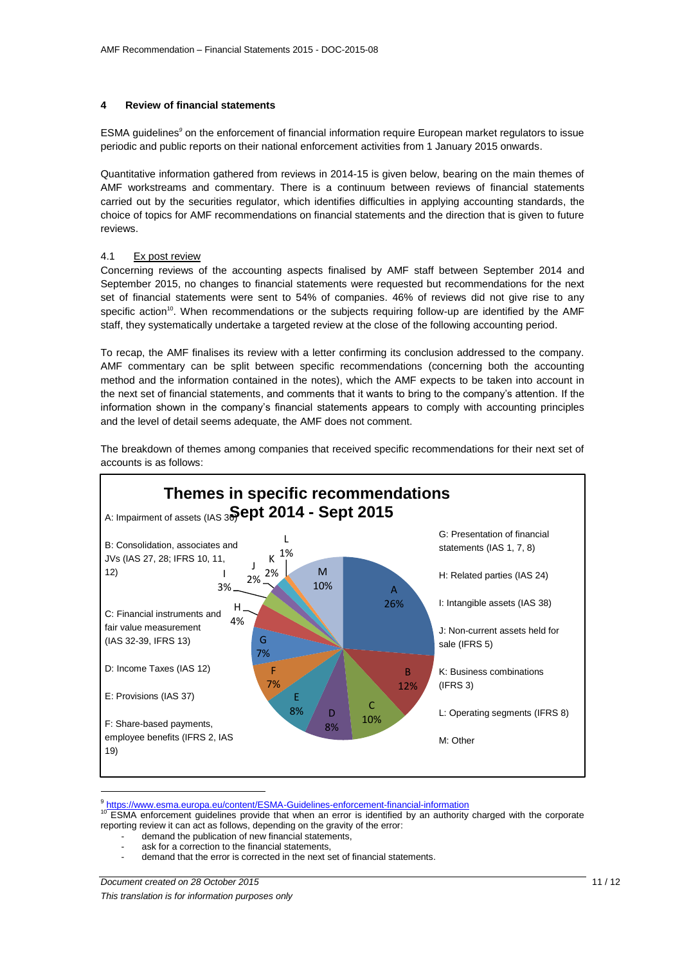### <span id="page-10-0"></span>**4 Review of financial statements**

ESMA guidelines<sup>9</sup> on the enforcement of financial information require European market regulators to issue periodic and public reports on their national enforcement activities from 1 January 2015 onwards.

Quantitative information gathered from reviews in 2014-15 is given below, bearing on the main themes of AMF workstreams and commentary. There is a continuum between reviews of financial statements carried out by the securities regulator, which identifies difficulties in applying accounting standards, the choice of topics for AMF recommendations on financial statements and the direction that is given to future reviews.

### <span id="page-10-1"></span>4.1 Ex post review

Concerning reviews of the accounting aspects finalised by AMF staff between September 2014 and September 2015, no changes to financial statements were requested but recommendations for the next set of financial statements were sent to 54% of companies. 46% of reviews did not give rise to any specific action<sup>10</sup>. When recommendations or the subjects requiring follow-up are identified by the AMF staff, they systematically undertake a targeted review at the close of the following accounting period.

To recap, the AMF finalises its review with a letter confirming its conclusion addressed to the company. AMF commentary can be split between specific recommendations (concerning both the accounting method and the information contained in the notes), which the AMF expects to be taken into account in the next set of financial statements, and comments that it wants to bring to the company's attention. If the information shown in the company's financial statements appears to comply with accounting principles and the level of detail seems adequate, the AMF does not comment.

The breakdown of themes among companies that received specific recommendations for their next set of accounts is as follows:



9 <https://www.esma.europa.eu/content/ESMA-Guidelines-enforcement-financial-information>

<sup>10</sup> ESMA enforcement guidelines provide that when an error is identified by an authority charged with the corporate reporting review it can act as follows, depending on the gravity of the error:

- demand the publication of new financial statements,
- ask for a correction to the financial statements.
- demand that the error is corrected in the next set of financial statements.